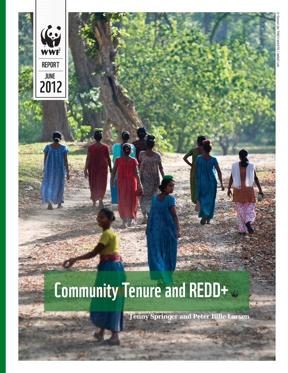

# **Community Tenure and REDD+**

**Jenny Springer and Peter Bille Larsen**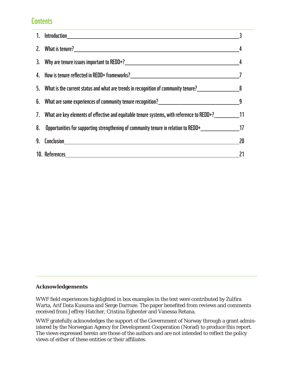# **Contents**

| 5. What is the current status and what are trends in recognition of community tenure?           |    |
|-------------------------------------------------------------------------------------------------|----|
| 6. What are some experiences of community tenure recognition?<br>9                              |    |
| 7. What are key elements of effective and equitable tenure systems, with reference to REDD+? 11 |    |
| 8. Opportunities for supporting strengthening of community tenure in relation to REDD+ 17       |    |
|                                                                                                 | 20 |
|                                                                                                 |    |

### **Acknowledgements**

WWF field experiences highlighted in box examples in the text were contributed by Zulfira Warta, Arif Data Kusuma and Serge Darroze. The paper benefited from reviews and comments received from Jeffrey Hatcher, Cristina Eghenter and Vanessa Retana.

WWF gratefully acknowledges the support of the Government of Norway through a grant administered by the Norwegian Agency for Development Cooperation (Norad) to produce this report. The views expressed herein are those of the authors and are not intended to reflect the policy views of either of these entities or their affiliates.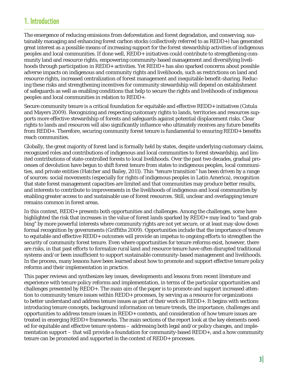# **1. Introduction**

The emergence of reducing emissions from deforestation and forest degradation, and conserving, sustainably managing and enhancing forest carbon stocks (collectively referred to as REDD+) has generated great interest as a possible means of increasing support for the forest stewardship activities of indigenous peoples and local communities. If done well, REDD+ initiatives could contribute to strengthening community land and resource rights, empowering community-based management and diversifying livelihoods through participation in REDD+ activities. Yet REDD+ has also sparked concerns about possible adverse impacts on indigenous and community rights and livelihoods, such as restrictions on land and resource rights, increased centralization of forest management and inequitable benefit-sharing. Reducing these risks and strengthening incentives for community stewardship will depend on establishment of safeguards as well as enabling conditions that help to secure the rights and livelihoods of indigenous peoples and local communities in relation to REDD+.

Secure community tenure is a critical foundation for equitable and effective REDD+ initiatives (Cotula and Mayers 2009). Recognizing and respecting customary rights to lands, territories and resources supports more effective stewardship of forests and safeguards against potential displacement risks. Clear rights to lands and resources will also significantly influence who ultimately receives any future benefits from REDD+. Therefore, securing community forest tenure is fundamental to ensuring REDD+ benefits reach communities.

Globally, the great majority of forest land is formally held by states, despite underlying customary claims, recognized roles and contributions of indigenous and local communities to forest stewardship, and limited contributions of state-controlled forests to local livelihoods. Over the past two decades, gradual processes of devolution have begun to shift forest tenure from states to indigenous peoples, local communities, and private entities (Hatcher and Bailey, 2011). This "tenure transition" has been driven by a range of sources: social movements (especially for rights of indigenous peoples in Latin America), recognition that state forest management capacities are limited and that communities may produce better results, and interests to contribute to improvements in the livelihoods of indigenous and local communities by enabling greater access to and sustainable use of forest resources. Still, unclear and overlapping tenure remains common in forest areas.

In this context, REDD+ presents both opportunities and challenges. Among the challenges, some have highlighted the risk that increases in the value of forest lands sparked by REDD+ may lead to "land grabbing" by more powerful interests where community rights are not yet secure, or at least may slow down formal recognition by governments (Griffiths 2009). Opportunities include that the importance of tenure to equitable and effective REDD+ outcomes will provide an impetus to ongoing efforts to strengthen the security of community forest tenure. Even where opportunities for tenure reforms exist, however, there are risks, in that past efforts to formalize rural land and resource tenure have often disrupted traditional systems and/or been insufficient to support sustainable community-based management and livelihoods. In the process, many lessons have been learned about how to promote and support effective tenure policy reforms and their implementation in practice.

This paper reviews and synthesizes key issues, developments and lessons from recent literature and experience with tenure policy reforms and implementation, in terms of the particular opportunities and challenges presented by REDD+. The main aim of the paper is to promote and support increased attention to community tenure issues within REDD+ processes, by serving as a resource for organizations to better understand and address tenure issues as part of their work on REDD+. It begins with sections introducing tenure concepts, background information on tenure trends, the importance, challenges and opportunities to address tenure issues in REDD+ contexts, and consideration of how tenure issues are treated in emerging REDD+ frameworks. The main sections of the report look at the key elements needed for equitable and effective tenure systems – addressing both legal and/or policy changes, and implementation support – that will provide a foundation for community-based REDD+, and a how community tenure can be promoted and supported in the context of REDD+ processes.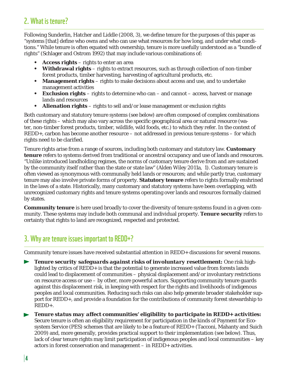### **2. What is tenure?**

Following Sunderlin, Hatcher and Liddle (2008, 3), we define tenure for the purposes of this paper as "systems [that] define who owns and who can use what resources for how long, and under what conditions." While tenure is often equated with ownership, tenure is more usefully understood as a "bundle of rights" (Schlager and Ostrom 1992) that may include various combinations of:

- **Access rights** rights to enter an area
- **Withdrawal rights** rights to extract resources, such as through collection of non-timber forest products, timber harvesting, harvesting of agricultural products, etc.
- **Management rights** rights to make decisions about access and use, and to undertake management activities
- **Exclusion rights** rights to determine who can and cannot access, harvest or manage lands and resources
- **Alienation rights** rights to sell and/or lease management or exclusion rights

Both customary and statutory tenure systems (see below) are often composed of complex combinations of these rights – which may also vary across the specific geographical area or natural resource (water, non-timber forest products, timber, wildlife, wild foods, etc.) to which they refer. In the context of REDD+, carbon has become another resource – not addressed in previous tenure systems – for which rights need to be clarified.

Tenure rights arise from a range of sources, including both customary and statutory law. **Customary tenure** refers to systems derived from traditional or ancestral occupancy and use of lands and resources. "Unlike introduced landholding regimes, the norms of customary tenure derive from and are sustained by the community itself rather than the state or state law" (Alden Wiley 2011a, 1). Customary tenure is often viewed as synonymous with communally held lands or resources; and while partly true, customary tenure may also involve private forms of property. **Statutory tenure** refers to rights formally enshrined in the laws of a state. Historically, many customary and statutory systems have been overlapping, with unrecognized customary rights and tenure systems operating over lands and resources formally claimed by states.

**Community tenure** is here used broadly to cover the diversity of tenure systems found in a given community. These systems may include both communal and individual property. **Tenure security** refers to certainty that rights to land are recognized, respected and protected.

# **3. Why are tenure issues important to REDD+?**

Community tenure issues have received substantial attention in REDD+ discussions for several reasons.

*Tenure security safeguards against risks of involuntary resettlement:* One risk high- $\blacktriangleright$ lighted by critics of REDD+ is that the potential to generate increased value from forests lands could lead to displacement of communities – physical displacement and/or involuntary restrictions on resource access or use – by other, more powerful actors. Supporting community tenure guards against this displacement risk, in keeping with respect for the rights and livelihoods of indigenous peoples and local communities. Reducing such risks can also help generate broader stakeholder support for REDD+, and provide a foundation for the contributions of community forest stewardship to REDD+.

*Tenure status may affect communities' eligibility to participate in REDD+ activities:*  Secure tenure is often an eligibility requirement for participation in the kinds of Payment for Ecosystem Service (PES) schemes that are likely to be a feature of REDD+ (Tacconi, Mahanty and Suich 2009) and, more generally, provides practical support to their implementation (see below). Thus, lack of clear tenure rights may limit participation of indigenous peoples and local communities – key actors in forest conservation and management – in REDD+ activities.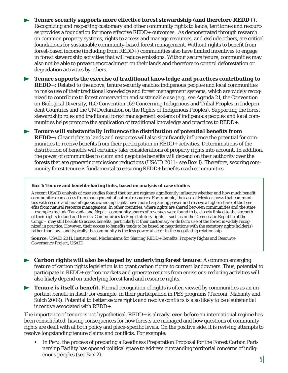**Tenure security supports more effective forest stewardship (and therefore REDD+).**  Recognizing and respecting customary and other community rights to lands, territories and resources provides a foundation for more effective REDD+ outcomes. As demonstrated through research on common property systems, rights to access and manage resources, and exclude others, are critical foundations for sustainable community-based forest management. Without rights to benefit from forest-based income (including from REDD+) communities also have limited incentives to engage in forest stewardship activities that will reduce emissions. Without secure tenure, communities may also not be able to prevent encroachment on their lands and therefore to control deforestation or degradation activities by others.

*Tenure supports the exercise of traditional knowledge and practices contributing to REDD+:* Related to the above, tenure security enables indigenous peoples and local communities to make use of their traditional knowledge and forest management systems, which are widely recognized to contribute to forest conservation and sustainable use (e.g., see Agenda 21, the Convention on Biological Diversity, ILO Convention 169 Concerning Indigenous and Tribal Peoples in Independent Countries and the UN Declaration on the Rights of Indigenous Peoples). Supporting the forest stewardship roles and traditional forest management systems of indigenous peoples and local communities helps promote the application of traditional knowledge and practices to REDD+.

**Fig. 7** Tenure will substantially influence the distribution of potential benefits from *REDD+:* Clear rights to lands and resources will also significantly influence the potential for communities to receive benefits from their participation in REDD+ activities. Determinations of the distribution of benefits will certainly take considerations of property rights into account. In addition, the power of communities to claim and negotiate benefits will depend on their authority over the forests that are generating emissions reductions (USAID 2011 - see Box 1). Therefore, securing community forest tenure is fundamental to ensuring REDD+ benefits reach communities.

#### **Box 1: Tenure and benefi t-sharing links, based on analysis of case studies**

A recent USAID analysis of case studies found that tenure regimes significantly influence whether and how much benefit communities can access from management of natural resources. For example, the case of Mexico shows that communities with secure and unambiguous ownership rights have more bargaining power and receive a higher share of the benefits from natural resource management. In other countries, where rights are shared between communities and the state – examples include Tanzania and Nepal - community shares of revenues were found to be closely linked to the strength of their rights to land and forests. Communities lacking statutory rights – such as in the Democratic Republic of the Congo – may still be able to access benefits, particularly if their customary or de facto use of the forest is widely recognized in practice. However, their access to benefits tends to be based on negotiations with the statutory rights holder(s) rather than law - and typically the community is the less powerful actor in the negotiating relationship.

**Source:** USAID 2011. *Institutional Mechanisms for Sharing REDD+ Benefits*. Property Rights and Resource Governance Project, USAID.

*Carbon rights will also be shaped by underlying forest tenure:* A common emerging feature of carbon rights legislation is to grant carbon rights to current landowners. Thus, potential to participate in REDD+ carbon markets and generate returns from emissions-reducing activities will also likely depend on underlying forest land and resource rights.

**Tenure is itself a benefit.** Formal recognition of rights is often viewed by communities as an im- $\blacktriangleright$ portant benefit in itself; for example, in their participation in PES programs (Tacconi, Mahanty and Suich 2009). Potential to better secure rights and resolve conflicts is also likely to be a substantial incentive associated with REDD+.

The importance of tenure is not hypothetical. REDD+ is already, even before an international regime has been consolidated, having consequences for how forests are managed and how questions of community rights are dealt with at both policy and place-specific levels. On the positive side, it is reviving attempts to resolve longstanding tenure claims and conflicts. For example:

• In Peru, the process of preparing a Readiness Preparation Proposal for the Forest Carbon Partnership Facility has opened political space to address outstanding territorial concerns of indigenous peoples (see Box 2).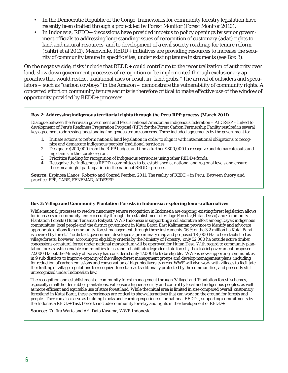- In the Democratic Republic of the Congo, frameworks for community forestry legislation have recently been drafted through a project led by Forest Monitor (Forest Monitor 2010).
- In Indonesia, REDD+ discussions have provided impetus to policy openings by senior government officials to addressing long-standing issues of recognition of customary (adat) rights to land and natural resources, and to development of a civil society roadmap for tenure reform (Safitri et al 2011). Meanwhile, REDD+ initiatives are providing resources to increase the security of community tenure in specific sites, under existing tenure instruments (see Box 3).

On the negative side, risks include that REDD+ could contribute to the recentralization of authority over land, slow down government processes of recognition or be implemented through exclusionary approaches that would restrict traditional uses or result in "land grabs." The arrival of outsiders and speculators – such as "carbon cowboys" in the Amazon – demonstrate the vulnerability of community rights. A concerted effort on community tenure security is therefore critical to make effective use of the window of opportunity provided by REDD+ processes.

#### **Box 2: Addressing indigenous territorial rights through the Peru RPP process (March 2011)**

Dialogue between the Peruvian government and Peru's national Amazonian indigenous federation – AIDESEP – linked to development of Peru's Readiness Preparation Proposal (RPP) for the Forest Carbon Partnership Facility resulted in several key agreements addressing longstanding indigenous tenure concerns. These included agreements by the government to:

- 1. Initiate actions to reform national land legislation in order to align it with international obligations to recognize and demarcate indigenous peoples' traditional territories.
- 2. Designate \$200,000 from the R-PP budget and find a further \$800,000 to recognize and demarcate outstanding claims in the Loreto region.
- 3. Prioritize funding for recognition of indigenous territories using other REDD+ funds.
- 4. Recognize the Indigenous REDD+ committees to be established at national and regional levels and ensure their meaningful participation in the national REDD+ process.

**Source:** Espinosa Llanos, Roberto and Conrad Feather. 2011. *The reality of REDD+ in Peru: Between theory and practice*. FPP, CARE, FENEMAD, AIDESEP.

#### **Box 3: Village and Community Plantation Forests in Indonesia: exploring tenure alternatives**

While national processes to resolve customary tenure recognition in Indonesia are ongoing, existing forest legislation allows for increases in community tenure security through the establishment of Village Forests (Hutan Desai) and Community Plantation Forests (Hutan Tanaman Rakyat). WWF Indonesia is supporting a collaborative effort among Dayak indigenous communities, local people and the district government in Kutai Barat, East Kalimantan province to identify and advocate appropriate options for community forest management through these instruments. 76 % of the 3.2 million ha Kutai Barat is covered by forest. The district government developed a preliminary map and proposed 175,000 Ha to be established as village forests; however, according to eligibility criteria by the Ministry of Forestry, only 52,000 ha outside active timber concessions or natural forest under national moratorium will be approved for Hutan Desa. With regard to community plantation forests, which enable communities to use and rehabilitate degraded state forests, the district government proposed 72.000 Ha but the Ministry of Forestry has considered only 17,000Ha to be eligible. WWF is now supporting communities in 9 sub-districts to improve capacity of the village forest management groups and develop management plans, including for reduction of carbon emissions and conservation of high-biodiversity areas. WWF will also work with villages to facilitate the drafting of village regulations to recognize forest areas traditionally protected by the communities, and presently still unrecognized under Indonesian law.

The recognition and establishment of community forest management through 'Village' and 'Plantation forest' schemes, especially small-holder rubber plantations, will ensure higher security and control by local and indigenous peoples, as well as more efficient and equitable use of state forest land. While the initial area is limited in size compared overall customary forestland in Kutai Barat, these experiences are critical to show alternatives that can work on the ground for forests and people. They can also serve as building blocks and learning experiences for national REDD+, supporting commitments by the Indonesia REDD+ Task Force to include community forestry and rights in the development of REDD+.

Source: Zulfira Warta and Arif Data Kusuma, WWF-Indonesia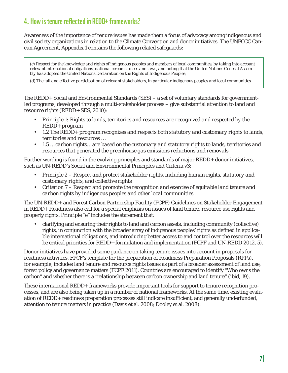# **4. How is tenure reflected in REDD+ frameworks?**

Awareness of the importance of tenure issues has made them a focus of advocacy among indigenous and civil society organizations in relation to the Climate Convention and donor initiatives. The UNFCCC Cancun Agreement, Appendix 1 contains the following related safeguards:

*(c) Respect for the knowledge and rights of indigenous peoples and members of local communities, by taking into account relevant international obligations, national circumstances and laws, and noting that the United Nations General Assembly has adopted the United Nations Declaration on the Rights of Indigenous Peoples;*

*(d) The full and effective participation of relevant stakeholders, in particular indigenous peoples and local communities*

The REDD+ Social and Environmental Standards (SES) – a set of voluntary standards for governmentled programs, developed through a multi-stakeholder process – give substantial attention to land and resource rights (REDD+ SES, 2010):

- *Principle 1: Rights to lands, territories and resources are recognized and respected by the REDD+ program*
- *1.2 The REDD+ program recognizes and respects both statutory and customary rights to lands, territories and resources …*
- *1.5 … carbon rights… are based on the customary and statutory rights to lands, territories and resources that generated the greenhouse gas emissions reductions and removals*

Further wording is found in the evolving principles and standards of major REDD+ donor initiatives, such as UN-REDD's Social and Environmental Principles and Criteria v3:

- *Principle 2 Respect and protect stakeholder rights, including human rights, statutory and customary rights, and collective rights*
- *Criterion 7 Respect and promote the recognition and exercise of equitable land tenure and carbon rights by indigenous peoples and other local communities*

The UN-REDD+ and Forest Carbon Partnership Facility (FCPF) *Guidelines on Stakeholder Engagement in REDD+ Readiness* also call for a special emphasis on issues of land tenure, resource use rights and property rights. Principle "e" includes the statement that:

• clarifying and ensuring their rights to land and carbon assets, including community (collective) rights, in conjunction with the broader array of indigenous peoples' rights as defined in applicable international obligations, and introducing better access to and control over the resources will be critical priorities for REDD+ formulation and implementation (FCPF and UN-REDD 2012, 5).

Donor initiatives have provided some guidance on taking tenure issues into account in proposals for readiness activities. FPCF's template for the preparation of Readiness Preparation Proposals (RPPs), for example, includes land tenure and resource rights issues as part of a broader assessment of land use, forest policy and governance matters (FCPF 2011). Countries are encouraged to identify "Who owns the carbon" and whether there is a "relationship between carbon ownership and land tenure" (ibid, 19).

These international REDD+ frameworks provide important tools for support to tenure recognition processes, and are also being taken up in a number of national frameworks. At the same time, existing evaluation of REDD+ readiness preparation processes still indicate insufficient, and generally underfunded, attention to tenure matters in practice (Davis et al. 2008; Dooley et al. 2008).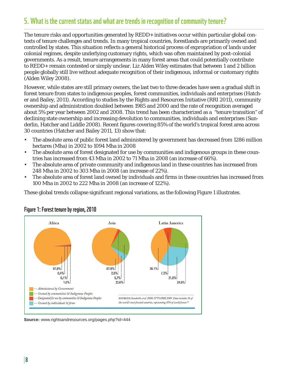# **5. What is the current status and what are trends in recognition of community tenure?**

The tenure risks and opportunities generated by REDD+ initiatives occur within particular global contexts of tenure challenges and trends. In many tropical countries, forestlands are primarily owned and controlled by states. This situation reflects a general historical process of expropriation of lands under colonial regimes, despite underlying customary rights, which was often maintained by post-colonial governments. As a result, tenure arrangements in many forest areas that could potentially contribute to REDD+ remain contested or simply unclear. Liz Alden Wiley estimates that between 1 and 2 billion people globally still live without adequate recognition of their indigenous, informal or customary rights (Alden Wiley 2008).

However, while states are still primary owners, the last two to three decades have seen a gradual shift in forest tenure from states to indigenous peoples, forest communities, individuals and enterprises (Hatcher and Bailey, 2011). According to studies by the Rights and Resources Initiative (RRI 2011), community ownership and administration doubled between 1985 and 2000 and the rate of recognition averaged about 5% per year between 2002 and 2008. This trend has been characterized as a "tenure transition" of declining state ownership and increasing devolution to communities, individuals and enterprises (Sunderlin, Hatcher and Liddle 2008). Recent figures covering 85% of the world's tropical forest area across 30 countries (Hatcher and Bailey 2011, 13) show that:

- The absolute area of public forest land administered by government has decreased from 1286 million hectares (Mha) in 2002 to 1094 Mha in 2008
- The absolute area of forest designated for use by communities and indigenous groups in these countries has increased from 43 Mha in 2002 to 71 Mha in 2008 (an increase of 66%).
- The absolute area of private community and indigenous land in these countries has increased from 248 Mha in 2002 to 303 Mha in 2008 (an increase of 22%).
- The absolute area of forest land owned by individuals and firms in these countries has increased from 100 Mha in 2002 to 222 Mha in 2008 (an increase of 122%).

These global trends collapse significant regional variations, as the following Figure 1 illustrates.



### **Figure 1: Forest tenure by region, 2010**

**Source:** www.rightsandresources.org/pages.php?id=444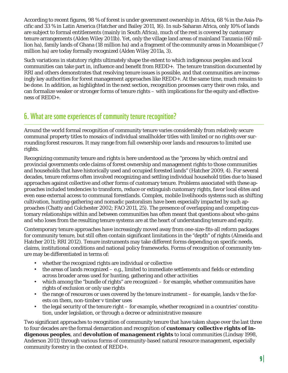According to recent figures, 98 % of forest is under government ownership in Africa, 68 % in the Asia-Pacific and 33 % in Latin America (Hatcher and Bailey 2011, 16). In sub-Saharan Africa, only 10% of lands are subject to formal entitlements (mainly in South Africa), much of the rest is covered by customary tenure arrangements (Alden Wiley 2011b). Yet, only the village land areas of mainland Tanzania (60 million ha), family lands of Ghana (18 million ha) and a fragment of the community areas in Mozambique (7 million ha) are today formally recognized (Alden Wiley 2011a, 3).

Such variations in statutory rights ultimately shape the extent to which indigenous peoples and local communities can take part in, influence and benefit from REDD+. The tenure transition documented by RRI and others demonstrates that resolving tenure issues is possible, and that communities are increasingly key authorities for forest management approaches like REDD+. At the same time, much remains to be done. In addition, as highlighted in the next section, recognition processes carry their own risks, and can formalize weaker or stronger forms of tenure rights – with implications for the equity and effectiveness of REDD+.

# **6. What are some experiences of community tenure recognition?**

Around the world formal recognition of community tenure varies considerably from relatively secure communal property titles to mosaics of individual smallholder titles with limited or no rights over surrounding forest resources. It may range from full ownership over lands and resources to limited use rights.

Recognizing community tenure and rights is here understood as the "process by which central and provincial governments cede claims of forest ownership and management rights to those communities and households that have historically used and occupied forested lands" (Hatcher 2009, 4). For several decades, tenure reforms often involved recognizing and settling individual household titles due to biased approaches against collective and other forms of customary tenure. Problems associated with these approaches included tendencies to transform, reduce or extinguish customary rights, favor local elites and even ease external access to communal forestlands. Complex, mobile livelihoods systems such as shifting cultivation, hunting-gathering and nomadic pastoralism have been especially impacted by such approaches (Chatty and Colchester 2002; FAO 2011, 25). The presence of overlapping and competing customary relationships within and between communities has often meant that questions about who gains and who loses from the resulting tenure systems are at the heart of understanding tenure and equity.

Contemporary tenure approaches have increasingly moved away from one-size-fits-all reform packages for community tenure, but still often contain significant limitations in the "depth" of rights (Almeida and Hatcher 2011; RRI 2012). Tenure instruments may take different forms depending on specific needs, claims, institutional conditions and national policy frameworks. Forms of recognition of community tenure may be differentiated in terms of:

- whether the recognized rights are individual or collective
- $\bullet$  the areas of lands recognized e.g., limited to immediate settlements and fields or extending across broader areas used for hunting, gathering and other activities
- which among the "bundle of rights" are recognized for example, whether communities have rights of exclusion or only use rights
- the range of resources or uses covered by the tenure instrument for example, lands v the forests on them, non-timber v timber uses
- the legal security of the tenure right for example, whether recognized in a countries' constitution, under legislation, or through a decree or administrative measure

Two significant approaches to recognition of community tenure that have taken shape over the last three to four decades are the formal demarcation and recognition of *customary collective rights of indigenous peoples*, and *devolution of management rights* to local communities (Lindsay 1998, Anderson 2011) through various forms of community-based natural resource management, especially community forestry in the context of REDD+.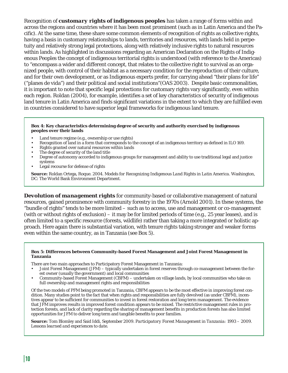Recognition of *customary rights of indigenous peoples* has taken a range of forms within and across the regions and countries where it has been most prominent (such as in Latin America and the Pacific). At the same time, these share some common elements of recognition of rights as collective rights, having a basis in customary relationships to lands, territories and resources, with lands held in perpetuity and relatively strong legal protections, along with relatively inclusive rights to natural resources within lands. As highlighted in discussions regarding an American Declaration on the Rights of Indigenous Peoples the concept of indigenous territorial rights is understood (with reference to the Americas) to "encompass a wider and different concept, that relates to the collective right to survival as an organized people, with control of their habitat as a necessary condition for the reproduction of their culture, and for their own development, or as Indigenous experts prefer, for carrying ahead "their plans for life" ("planes de vida") and their political and social institutions"(OAS 2003). Despite basic commonalities, it is important to note that specific legal protections for customary rights vary significantly, even within each region. Roldan (2004), for example, identifies a set of key characteristics of security of indigenous land tenure in Latin America and finds significant variations in the extent to which they are fulfilled even in countries considered to have superior legal frameworks for indigenous land tenure.

#### **Box 4: Key characteristics determining degree of security and authority exercised by indigenous peoples over their lands**

- Land tenure regime (e.g., ownership or use rights)
- Recognition of land in a form that corresponds to the concept of an indigenous territory as defined in ILO 169.
- Rights granted over natural resources within lands
- The degree of security of the land title
- Degree of autonomy accorded to indigenous groups for management and ability to use traditional legal and justice systems
- Legal recourse for defense of rights

**Source:** Roldan Ortega, Roque. 2004. *Models for Recognizing Indigenous Land Rights in Latin America*. Washington, DC: The World Bank Environment Department.

*Devolution of management rights* for community-based or collaborative management of natural resources, gained prominence with community forestry in the 1970s (Arnold 2001). In these systems, the "bundle of rights" tends to be more limited – such as to access, use and management or co-management (with or without rights of exclusion) – it may be for limited periods of time (e.g., 25 year leases), and is often limited to a specific resource (forests, wildlife) rather than taking a more integrated or holistic approach. Here again there is substantial variation, with tenure rights taking stronger and weaker forms even within the same country, as in Tanzania (see Box 5).

#### **Box 5: Differences between Community-based Forest Management and Joint Forest Management in Tanzania**

There are two main approaches to Participatory Forest Management in Tanzania:

- Joint Forest Management (JFM) typically undertaken in forest reserves through co-management between the forest owner (usually the government) and local communities
- Community-based Forest Management (CBFM) undertaken on village lands, by local communities who take on full ownership and management rights and responsibilities

Of the two models of PFM being promoted in Tanzania, CBFM appears to be the most effective in improving forest condition. Many studies point to the fact that when rights and responsibilities are fully devolved (as under CBFM), incentives appear to be sufficient for communities to invest in forest restoration and long term management. The evidence that JFM improves results in improved forest condition appears to be mixed. The restrictive management rules in protection forests, and lack of clarity regarding the sharing of management benefits in production forests has also limited opportunities for JFM to deliver long term and tangible benefits to poor families.

**Source:** Tom Blomley and Said Iddi, September 2009. *Participatory Forest Management in Tanzania: 1993 – 2009. Lessons learned and experiences to date.*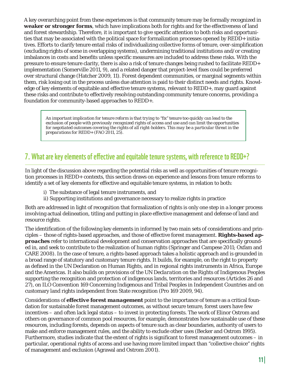A key overarching point from these experiences is that community tenure may be formally recognized in **weaker or stronger forms**, which have implications both for rights and for the effectiveness of land and forest stewardship. Therefore, it is important to give specific attention to both risks and opportunities that may be associated with the political space for formalization processes opened by REDD+ initiatives. Efforts to clarify tenure entail risks of individualizing collective forms of tenure, over-simplification (excluding rights of some in overlapping systems), undermining traditional institutions and/or creating imbalances in costs and benefits unless specific measures are included to address these risks. With the pressure to ensure tenure clarity, there is also a risk of tenure changes being rushed to facilitate REDD+ implementation (Somerville 2011, 9), and a related danger that project-level fixes could be preferred over structural change (Hatcher 2009, 11). Forest dependent communities, or marginal segments within them, risk losing out in the process unless due attention is paid to their distinct needs and rights. Knowledge of key elements of equitable and effective tenure systems, relevant to REDD+, may guard against these risks and contribute to effectively resolving outstanding community tenure concerns, providing a foundation for community-based approaches to REDD+.

An important implication for tenure reform is that trying to "fix" tenure too quickly can lead to the *exclusion of people with previously recognized rights of access and use and can limit the opportunities for negotiated outcomes covering the rights of all right-holders. This may be a particular threat in the preparations for REDD+* (FAO 2011, 25).

# **7. What are key elements of effective and equitable tenure systems, with reference to REDD+?**

In light of the discussion above regarding the potential risks as well as opportunities of tenure recognition processes in REDD+ contexts, this section draws on experience and lessons from tenure reforms to identify a set of key elements for effective and equitable tenure systems, in relation to both:

- i) The substance of legal tenure instruments, and
- ii) Supporting institutions and governance necessary to realize rights in practice

Both are addressed in light of recognition that formalization of rights is only one step in a longer process involving actual delineation, titling and putting in place effective management and defense of land and resource rights.

The identification of the following key elements in informed by two main sets of considerations and principles – those of rights-based approaches, and those of effective forest management. *Rights-based approaches* refer to international development and conservation approaches that are specifically grounded in, and seek to contribute to the realization of human rights (Springer and Campese 2011; Oxfam and CARE 2008). In the case of tenure, a rights-based approach takes a holistic approach and is grounded in a broad range of statutory and customary tenure rights. It builds, for example, on the right to property as defined in the UN Declaration on Human Rights, and in regional rights instruments in Africa, Europe and the Americas. It also builds on provisions of the *UN Declaration on the Rights of Indigenous Peoples*  supporting the recognition and protection of indigenous lands, territories and resources (Articles 26 and 27), on ILO Convention 169 Concerning Indigenous and Tribal Peoples in Independent Countries and on customary land rights independent from State recognition (Pro 169 2009, 94).

Considerations of *effective forest management* point to the importance of tenure as a critical foundation for sustainable forest management outcomes, as without secure tenure, forest users have few incentives – and often lack legal status – to invest in protecting forests. The work of Elinor Ostrom and others on governance of common pool resources, for example, demonstrates how sustainable use of these resources, including forests, depends on aspects of tenure such as clear boundaries, authority of users to make and enforce management rules, and the ability to exclude other uses (Becker and Ostrom 1995). Furthermore, studies indicate that the extent of rights is significant to forest management outcomes  $-\text{ in }$ particular, operational rights of access and use having more limited impact than "collective choice" rights of management and exclusion (Agrawal and Ostrom 2001).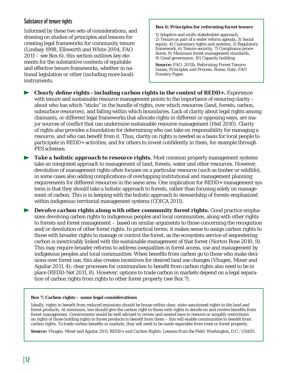### **Substance of tenure rights**

Informed by these two sets of considerations, and drawing on studies of principles and lessons for creating legal frameworks for community tenure (Lindsay 1998, Ellsworth and White 2004, FAO 2011 – see Box 6), this section outlines key elements for the substantive contents of equitable and effective tenure frameworks, whether in national legislation or other (including more local) instruments.

#### **Box 6: Principles for reforming forest tenure**

1) Adaptive and multi-stakeholder approach, 2) Tenure as part of a wider reform agenda, 3) Social equity, 4) Customary rights and systems, 5) Regulatory framework, 6) Tenure security, 7) Compliance procedures, 8) Minimum forest management standards, 9) Good governance, 10) Capacity building

**Source:** FAO. 2011b. *Reforming Forest Tenure: Issues, Principles and Process*. Rome, Italy: FAO Forestry Paper.

*Clearly define rights - including carbon rights in the context of REDD+.* Experience with tenure and sustainable resource management points to the importance of ensuring clarity – about who has which "sticks" in the bundle of rights, over which resources (land, forests, carbon, subsurface resources), and falling within which boundaries. Lack of clarity about legal rights among claimants, or different legal frameworks that allocate rights in different or opposing ways, are major sources of conflict that can undermine sustainable resource management (Heil 2010). Clarity of rights also provides a foundation for determining who can take on responsibility for managing a resource, and who can benefit from it. Thus, clarity on rights is needed as a basis for local people to participate in REDD+ activities, and for others to invest confidently in them, for example through PES schemes.

**Take a holistic approach to resource rights.** Most common property management systems take an integrated approach to management of land, forests, water and other resources. However, devolution of management rights often focuses on a particular resource (such as timber or wildlife), in some cases also adding complications of overlapping institutional and management planning requirements for different resources in the same area. One implication for REDD+ management systems is that they should take a holistic approach to forests, rather than focusing solely on management of carbon. This is in keeping with the holistic approach to stewardship of forests emphasized within indigenous territorial management systems (COICA 2011).

*Devolve carbon rights along with other community forest rights.* **Good practice empha**sizes devolving carbon rights to indigenous peoples and local communities, along with other rights to forests and forest management – based on similar arguments to those concerning the recognition and/or devolution of other forest rights. In practical terms, it makes sense to assign carbon rights to those with broader rights to manage or control the forest, as the ecosystem service of sequestering carbon is inextricably linked with the sustainable management of that forest (Norton Rose 2010, 9). This may require broader reforms to address inequalities in forest access, use and management by indigenous peoples and local communities. When benefits from carbon go to those who make decisions over forest use, this also creates incentives for desired land use changes (Vhugen, Miner and Aguilar 2011, 4); clear processes for communities to benefit from carbon rights also need to be in place (REDD-Net 2011, 8). However, options to trade carbon in markets depend on a legal separation of carbon rights from rights to other forest property (see Box 7).

#### **Box 7: Carbon rights – some legal considerations**

Ideally, rights to benefit from reduced emissions should be house within clear, state-sanctioned rights to the land and forest products. At minimum, law should give the carbon right to those with rights to decide on and receive benefits from forest management. Governments would be well advised to review and amend laws to remove or simplify restrictions on rights of those holding rights to forest products to benefi t from them – this will enable communities to benefi t from carbon rights. To trade carbon benefits in markets, they will need to be made separable from trees or forest property.

**Source:** Vhugen, Miner and Aguilar 2011. *REDD+ and Carbon Rights: Lessons from the Field*. Washington, D.C.: USAID.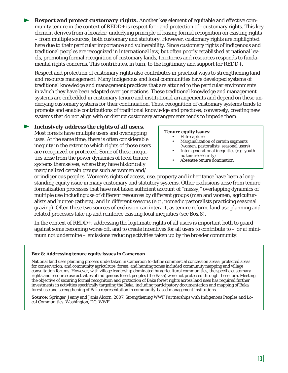*Respect and protect customary rights.* Another key element of equitable and effective community tenure in the context of REDD+ is respect for - and protection of - customary rights. This key element derives from a broader, underlying principle of basing formal recognition on existing rights – from multiple sources, both customary and statutory. However, customary rights are highlighted here due to their particular importance and vulnerability. Since customary rights of indigenous and traditional peoples are recognized in international law, but often poorly established at national levels, promoting formal recognition of customary lands, territories and resources responds to fundamental rights concerns. This contributes, in turn, to the legitimacy and support for REDD+.

Respect and protection of customary rights also contributes in practical ways to strengthening land and resource management. Many indigenous and local communities have developed systems of traditional knowledge and management practices that are attuned to the particular environments in which they have been adapted over generations. These traditional knowledge and management systems are embedded in customary tenure and institutional arrangements and depend on these underlying customary systems for their continuation. Thus, recognition of customary systems tends to promote and enable contributions of traditional knowledge and practices; conversely, creating new systems that do not align with or disrupt customary arrangements tends to impede them.

### *Inclusively address the rights of all users.*

Most forests have multiple users and overlapping uses. At the same time, there is often considerable inequity in the extent to which rights of those users are recognized or protected. Some of these inequities arise from the power dynamics of local tenure systems themselves, where they have historically marginalized certain groups such as women and/

### **Tenure equity issues:**

- Elite capture • Marginalization of certain segments
- (women, pastoralists, seasonal users) • Inter-generational inequities (e.g. youth no tenure security)
- Absentee tenure domination

or indigenous peoples. Women's rights of access, use, property and inheritance have been a longstanding equity issue in many customary and statutory systems. Other exclusions arise from tenure formalization processes that have not taken sufficient account of "messy," overlapping dynamics of multiple use including use of different resources by different groups (men and women, agriculturalists and hunter-gathers), and in different seasons (e.g., nomadic pastoralists practicing seasonal grazing). Often these two sources of exclusion can interact, as tenure reform, land use planning and related processes take up and reinforce existing local inequities (see Box 8).

In the context of REDD+, addressing the legitimate rights of all users is important both to guard against some becoming worse off, and to create incentives for all users to contribute to – or at minimum not undermine – emissions reducing activities taken up by the broader community.

#### **Box 8: Addressing tenure equity issues in Cameroon**

National land uses planning process undertaken in Cameroon to define commercial concession areas; protected areas for conservation; and community agriculture, forest, and hunting zones included community mapping and village consultation forums. However, with village leadership dominated by agricultural communities, the specific customary rights and resource use activities of indigenous forest peoples (the Baka) were not protected through these fora. Meeting the objective of securing formal recognition and protection of Baka forest rights across land uses has required further investments in activities specifically targeting the Baka, including participatory documentation and mapping of Baka forest use and strengthening of Baka representation in community-based management institutions.

**Source:** Springer, Jenny and Janis Alcorn. 2007. *Strengthening WWF Partnerships with Indigenous Peoples and Local Communities*. Washington, DC: WWF.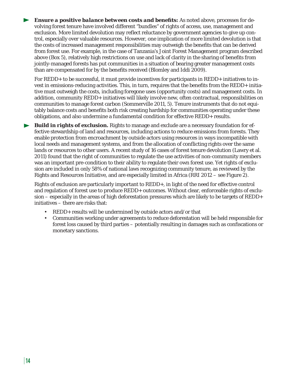*Ensure a positive balance between costs and benefits:* As noted above, processes for devolving forest tenure have involved different "bundles" of rights of access, use, management and exclusion. More limited devolution may reflect reluctance by government agencies to give up control, especially over valuable resources. However, one implication of more limited devolution is that the costs of increased management responsibilities may outweigh the benefits that can be derived from forest use. For example, in the case of Tanzania's Joint Forest Management program described above (Box 5), relatively high restrictions on use and lack of clarity in the sharing of benefits from jointly-managed forests has put communities in a situation of bearing greater management costs than are compensated for by the benefits received (Blomley and Iddi 2009).

For REDD+ to be successful, it must provide incentives for participants in REDD+ initiatives to invest in emissions-reducing activities. This, in turn, requires that the benefits from the REDD+ initiative must outweigh the costs, including foregone uses (opportunity costs) and management costs. In addition, community REDD+ initiatives will likely involve new, often contractual, responsibilities on communities to manage forest carbon (Sommerville 2011, 5). Tenure instruments that do not equitably balance costs and benefits both risk creating hardship for communities operating under these obligations, and also undermine a fundamental condition for effective REDD+ results.

*Build in rights of exclusion.* Rights to manage and exclude are a necessary foundation for effective stewardship of land and resources, including actions to reduce emissions from forests. They enable protection from encroachment by outside actors using resources in ways incompatible with local needs and management systems, and from the allocation of conflicting rights over the same lands or resources to other users. A recent study of 16 cases of forest tenure devolution (Lawry et al. 2011) found that the right of communities to regulate the use activities of non-community members was an important pre-condition to their ability to regulate their own forest use. Yet rights of exclusion are included in only 58% of national laws recognizing community tenure, as reviewed by the Rights and Resources Initiative, and are especially limited in Africa (RRI 2012 – see Figure 2).

Rights of exclusion are particularly important to REDD+, in light of the need for effective control and regulation of forest use to produce REDD+ outcomes. Without clear, enforceable rights of exclusion – especially in the areas of high deforestation pressures which are likely to be targets of REDD+ initiatives – there are risks that:

- REDD+ results will be undermined by outside actors and/or that
- Communities working under agreements to reduce deforestation will be held responsible for forest loss caused by third parties – potentially resulting in damages such as confiscations or monetary sanctions.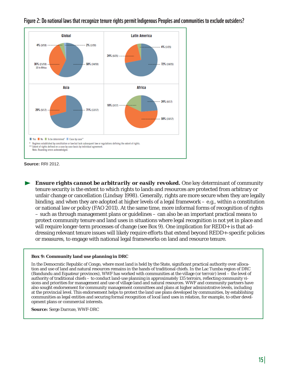

### **Figure 2: Do national laws that recognize tenure rights permit Indigenous Peoples and communities to exclude outsiders?**



*Ensure rights cannot be arbitrarily or easily revoked.* One key determinant of community tenure security is the extent to which rights to lands and resources are protected from arbitrary or unfair change or cancellation (Lindsay 1998). Generally, rights are more secure when they are legally binding, and when they are adopted at higher levels of a legal framework – e.g., within a constitution or national law or policy (FAO 2011). At the same time, more informal forms of recognition of rights – such as through management plans or guidelines – can also be an important practical means to protect community tenure and land uses in situations where legal recognition is not yet in place and will require longer-term processes of change (see Box 9). One implication for REDD+ is that addressing relevant tenure issues will likely require efforts that extend beyond REDD+-specific policies or measures, to engage with national legal frameworks on land and resource tenure.

### **Box 9: Community land use planning in DRC**

In the Democratic Republic of Congo, where most land is held by the State, significant practical authority over allocation and use of land and natural resources remains in the hands of traditional chiefs. In the Lac Tumba region of DRC (Bandundu and Equateur provinces), WWF has worked with communities at the village (or *terroir*) level – the level of authority of traditional chiefs – to conduct land-use planning in approximately 135 terroirs, reflecting community visions and priorities for management and use of village land and natural resources. WWF and community partners have also sought endorsement for community management committees and plans at higher administrative levels, including at the provincial level. This endorsement helps to protect the land use plans developed by communities, by establishing communities as legal entities and securing formal recognition of local land uses in relation, for example, to other development plans or commercial interests.

**Source:** Serge Darroze, WWF-DRC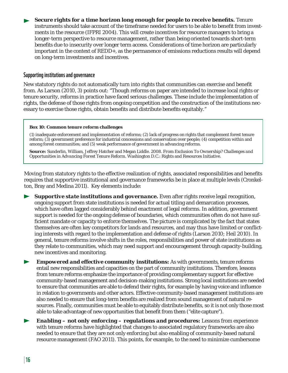*Secure rights for a time horizon long enough for people to receive benefits.* **Tenure** instruments should take account of the timeframe needed for users to be able to benefit from investments in the resource (IFPRI 2004). This will create incentives for resource managers to bring a longer-term perspective to resource management, rather than being oriented towards short-term benefits due to insecurity over longer term access. Considerations of time horizon are particularly important in the context of REDD+, as the permanence of emissions reductions results will depend on long-term investments and incentives.

### **Supporting institutions and governance**

New statutory rights do not automatically turn into rights that communities can exercise and benefit from. As Larson (2010, 3) points out: "Though reforms on paper are intended to increase local rights or tenure security, reforms in practice have faced serious challenges. These include the implementation of rights, the defense of those rights from ongoing competition and the construction of the institutions necessary to exercise those rights, obtain benefits and distribute benefits equitably."

#### **Box 10: Common tenure reform challenges**

(1) inadequate enforcement and implementation of reforms; (2) lack of progress on rights that complement forest tenure reform; (3) government preference for industrial concessions and conservation over people; (4) competition within and among forest communities; and (5) weak performance of government in advancing reforms.

**Source:** Sunderlin, William, Jeffrey Hatcher and Megan Liddle. 2008. *From Exclusion To Ownership? Challenges and Opportunities in Advancing Forest Tenure Reform*. Washington D.C.: Rights and Resources Initiative.

Moving from statutory rights to the effective realization of rights, associated responsibilities and benefits requires that supportive institutional and governance frameworks be in place at multiple levels (Cronkelton, Bray and Medina 2011). Key elements include:

**Supportive state institutions and governance.** Even after rights receive legal recognition, ongoing support from state institutions is needed for actual titling and demarcation processes, which have often lagged considerably behind enactment of legal reforms. In addition, government support is needed for the ongoing defense of boundaries, which communities often do not have sufficient mandate or capacity to enforce themselves. The picture is complicated by the fact that states themselves are often key competitors for lands and resources, and may thus have limited or conflicting interests with regard to the implementation and defense of rights (Larson 2010; Heil 2010). In general, tenure reforms involve shifts in the roles, responsibilities and power of state institutions as they relate to communities, which may need support and encouragement through capacity-building, new incentives and monitoring.

*Empowered and effective community institutions:* As with governments, tenure reforms entail new responsibilities and capacities on the part of community institutions. Therefore, lessons from tenure reforms emphasize the importance of providing complementary support for effective community-based management and decision-making institutions. Strong local institutions are needed to ensure that communities are able to defend their rights, for example by having voice and influence in relation to governments and other actors. Effective community-based management institutions are also needed to ensure that long-term benefits are realized from sound management of natural resources. Finally, communities must be able to equitably distribute benefits, so it is not only those most able to take advantage of new opportunities that benefit from them ("elite capture").

*Enabling – not only enforcing – regulations and procedures:* Lessons from experience with tenure reforms have highlighted that changes to associated regulatory frameworks are also needed to ensure that they are not only enforcing but also enabling of community-based natural resource management (FAO 2011). This points, for example, to the need to minimize cumbersome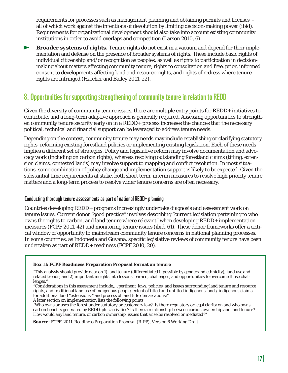requirements for processes such as management planning and obtaining permits and licenses – all of which work against the intentions of devolution by limiting decision-making power (ibid). Requirements for organizational development should also take into account existing community institutions in order to avoid overlaps and competition (Larson 2010, 6).

*Broader systems of rights.* Tenure rights do not exist in a vacuum and depend for their implementation and defense on the presence of broader systems of rights. These include basic rights of individual citizenship and/or recognition as peoples, as well as rights to participation in decisionmaking about matters affecting community tenure, rights to consultation and free, prior, informed consent to developments affecting land and resource rights, and rights of redress where tenure rights are infringed (Hatcher and Bailey 2011, 22).

### **8. Opportunities for supporting strengthening of community tenure in relation to REDD**

Given the diversity of community tenure issues, there are multiple entry points for REDD+ initiatives to contribute, and a long-term adaptive approach is generally required. Assessing opportunities to strengthen community tenure security early on in a REDD+ process increases the chances that the necessary political, technical and financial support can be leveraged to address tenure needs.

Depending on the context, community tenure may needs may include establishing or clarifying statutory rights, reforming existing forestland policies or implementing existing legislation. Each of these needs implies a different set of strategies. Policy and legislative reform may involve documentation and advocacy work (including on carbon rights), whereas resolving outstanding forestland claims (titling, extension claims, contested lands) may involve support to mapping and conflict resolution. In most situations, some combination of policy change and implementation support is likely to be expected. Given the substantial time requirements at stake, both short term, interim measures to resolve high priority tenure matters and a long-term process to resolve wider tenure concerns are often necessary.

### **Conducting thorough tenure assessments as part of national REDD+ planning**

Countries developing REDD+ programs increasingly undertake diagnosis and assessment work on tenure issues. Current donor "good practice" involves describing "current legislation pertaining to who owns the rights to carbon, and land tenure where relevant" when developing REDD+ implementation measures (FCPF 2011, 42) and monitoring tenure issues (ibid, 61). These donor frameworks offer a critical window of opportunity to mainstream community tenure concerns in national planning processes. In some countries, as Indonesia and Guyana, specific legislative reviews of community tenure have been undertaken as part of REDD+ readiness (FCPF 2010, 20).

#### **Box 11: FCPF Readiness Preparation Proposal format on tenure**

"This analysis should provide data on 1) land tenure (differentiated if possible by gender and ethnicity), land use and related trends; and 2) important insights into lessons learned, challenges, and opportunities to overcome those challenges."

"Considerations in this assessment include,… pertinent laws, policies, and issues surrounding land tenure and resource rights, and traditional land use of indigenous people, extent of titled and untitled indigenous lands, indigenous claims for additional land "extensions;" and process of land title demarcations;"

A later section on implementation lists the following points:

"Who owns or uses the forest under statutory or customary law? Is there regulatory or legal clarity on and who owns carbon benefits generated by REDD-plus activities? Is there a relationship between carbon ownership and land tenure? How would any land tenure, or carbon ownership, issues that arise be resolved or mediated?"

**Source:** FCPF. 2011. *Readiness Preparation Proposal (R-PP), Version 6* Working Draft.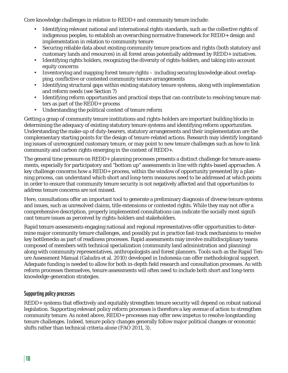Core knowledge challenges in relation to REDD+ and community tenure include:

- Identifying relevant national and international rights standards, such as the collective rights of indigenous peoples, to establish an overarching normative framework for REDD+ design and implementation in relation to community tenure
- Securing reliable data about existing community tenure practices and rights (both statutory and customary lands and resources) in all forest areas potentially addressed by REDD+ initiatives.
- Identifying rights holders, recognizing the diversity of rights-holders, and taking into account equity concerns
- Inventorying and mapping forest tenure rights including securing knowledge about overlapping, conflictive or contested community tenure arrangements
- Identifying structural gaps within existing statutory tenure systems, along with implementation and reform needs (see Section 7)
- Identifying reform opportunities and practical steps that can contribute to resolving tenure matters as part of the REDD+ process
- Understanding the political context of tenure reform

Getting a grasp of community tenure institutions and rights-holders are important building blocks in determining the adequacy of existing statutory tenure systems and identifying reform opportunities. Understanding the make-up of duty-bearers, statutory arrangements and their implementation are the complementary starting points for the design of tenure-related actions. Research may identify longstanding issues of unrecognized customary tenure, or may point to new tenure challenges such as how to link community and carbon rights emerging in the context of REDD+.

The general time pressure on REDD+ planning processes presents a distinct challenge for tenure assessments, especially for participatory and "bottom up" assessments in line with rights-based approaches. A key challenge concerns how a REDD+ process, within the window of opportunity presented by a planning process, can understand which short and long-term measures need to be addressed at which points in order to ensure that community tenure security is not negatively affected and that opportunities to address tenure concerns are not missed.

Here, consultations offer an important tool to generate a preliminary diagnosis of diverse tenure systems and issues, such as unresolved claims, title extensions or contested rights. While they may not offer a comprehensive description, properly implemented consultations can indicate the socially most significant tenure issues as perceived by rights-holders and stakeholders.

Rapid tenure assessments engaging national and regional representatives offer opportunities to determine major community tenure challenges, and possibly put in practice fast-track mechanisms to resolve key bottlenecks as part of readiness processes. Rapid assessments may involve multidisciplinary teams composed of members with technical specialization (community land administration and planning) along with community representatives, anthropologists and forest planners. Tools such as the Rapid Tenure Assessment Manual (Galudra et al. 2010) developed in Indonesia can offer methodological support. Adequate funding is needed to allow for both in-depth field research and consultation processes. As with reform processes themselves, tenure assessments will often need to include both short and long-term knowledge-generation strategies.

### **Supporting policy processes**

REDD+ systems that effectively and equitably strengthen tenure security will depend on robust national legislation. Supporting relevant policy reform processes is therefore a key avenue of action to strengthen community tenure. As noted above, REDD+ processes may offer new impetus to resolve longstanding tenure challenges. Indeed, tenure policy changes generally follow major political changes or economic shifts rather than technical criteria alone (FAO 2011, 3).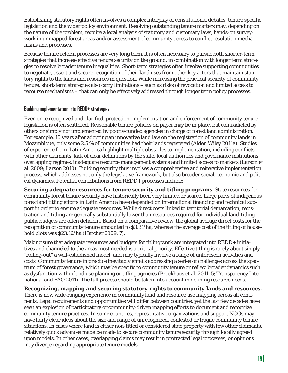Establishing statutory rights often involves a complex interplay of constitutional debates, tenure specific legislation and the wider policy environment. Resolving outstanding tenure matters may, depending on the nature of the problem, require a legal analysis of statutory and customary laws, hands-on surveywork in unmapped forest areas and/or assessment of community access to conflict resolution mechanisms and processes.

Because tenure reform processes are very long term, it is often necessary to pursue both shorter-term strategies that increase effective tenure security on the ground, in combination with longer term strategies to resolve broader tenure inequalities. Short-term strategies often involve supporting communities to negotiate, assert and secure recognition of their land uses from other key actors that maintain statutory rights to the lands and resources in question. While increasing the practical security of community tenure, short-term strategies also carry limitations – such as risks of revocation and limited access to recourse mechanisms – that can only be effectively addressed through longer term policy processes.

### **Building implementation into REDD+ strategies**

Even once recognized and clarified, protection, implementation and enforcement of community tenure legislation is often scattered. Reasonable tenure policies on paper may be in place, but contradicted by others or simply not implemented by poorly-funded agencies in charge of forest land administration. For example, 10 years after adopting an innovative land law on the registration of community lands in Mozambique, only some 2.5 % of communities had their lands registered (Alden Wiley 2011a). Studies of experience from Latin America highlight multiple obstacles to implementation, including conflicts with other claimants, lack of clear definitions by the state, local authorities and governance institutions, overlapping regimes, inadequate resource management systems and limited access to markets (Larson et al. 2009; Larson 2010). Building security thus involves a comprehensive and reiterative implementation process, which addresses not only the legislative framework, but also broader social, economic and political dynamics. Potential contributions from REDD+ processes include:

**Securing adequate resources for tenure security and titling programs.** State resources for community forest tenure security have historically been very limited or scarce. Large parts of indigenous forestland titling efforts in Latin America have depended on international financing and technical support in order to ensure adequate resources. While direct costs linked to territorial demarcation, registration and titling are generally substantially lower than resources required for individual land-titling, public budgets are often deficient. Based on a comparative review, the global average direct costs for the recognition of community tenure amounted to \$3.31/ha, whereas the average cost of the titling of household plots was \$23.16/ha (Hatcher 2009, 7).

Making sure that adequate resources and budgets for titling work are integrated into REDD+ initiatives and channeled to the areas most needed is a critical priority. Effective titling is rarely about simply "rolling-out" a well-established model, and may typically involve a range of unforeseen activities and costs. Community tenure in practice inevitably entails addressing a series of challenges across the spectrum of forest governance, which may be specific to community tenure or reflect broader dynamics such as dysfunction within land use planning or titling agencies (Brockhaus et al. 2011, 5; Transparency International and FAO 2011). The full process should be taken into account in defining resource needs.

*Recognizing, mapping and securing statutory rights to community lands and resources.*  There is now wide-ranging experience in community land and resource use mapping across all continents. Legal requirements and opportunities will differ between countries, yet the last few decades have seen an explosion of participatory or community-driven mapping efforts to document and recognize community tenure practices. In some countries, representative organizations and support NGOs may have fairly clear ideas about the size and range of unrecognized, contested or fragile community tenure situations. In cases where land is either non-titled or considered state property with few other claimants, relatively quick advances made be made to secure community tenure security through locally agreed upon models. In other cases, overlapping claims may result in protracted legal processes, or opinions may diverge regarding appropriate tenure models.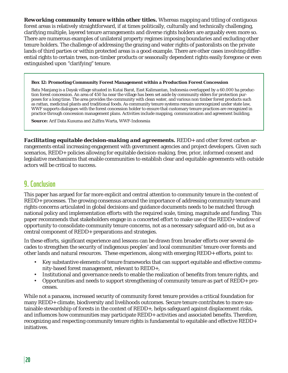*Reworking community tenure within other titles.* Whereas mapping and titling of contiguous forest areas is relatively straightforward, if at times politically, culturally and technically challenging, clarifying multiple, layered tenure arrangements and diverse rights holders are arguably even more so. There are numerous examples of unilateral property regimes imposing boundaries and excluding other tenure holders. The challenge of addressing the grazing and water rights of pastoralists on the private lands of third parties or within protected areas is a good example. There are other cases involving differential rights to certain trees, non-timber products or seasonally dependent rights easily foregone or even extinguished upon "clarifying" tenure.

#### **Box 12: Promoting Community Forest Management within a Production Forest Concession**

Batu Manjang is a Dayak village situated in Kutai Barat, East Kalimantan, Indonesia overlapped by a 60.000 ha production forest concession. An area of 450 ha near the village has been set aside by community elders for protection purposes for a long time. The area provides the community with clean water, and various non timber forest products such as rattan, medicinal plants and traditional foods. As community tenure systems remain unrecognized under state law, WWF supports dialogues with the forest concession holder to ensure that customary tenure practices are recognized in practice through concession management plans. Activities include mapping, communication and agreement building.

**Source:** Arif Data Kusuma and Zulfira Warta, WWF-Indonesia

*Facilitating equitable decision-making and agreements.* REDD+ and other forest carbon arrangements entail increasing engagement with government agencies and project developers. Given such scenarios, REDD+ policies allowing for equitable decision-making, free, prior, informed consent and legislative mechanisms that enable communities to establish clear and equitable agreements with outside actors will be critical to success.

# **9. Conclusion**

This paper has argued for far more explicit and central attention to community tenure in the context of REDD+ processes. The growing consensus around the importance of addressing community tenure and rights concerns articulated in global decisions and guidance documents needs to be matched through national policy and implementation efforts with the required scale, timing, magnitude and funding. This paper recommends that stakeholders engage in a concerted effort to make use of the REDD+ window of opportunity to consolidate community tenure concerns, not as a necessary safeguard add-on, but as a central component of REDD+ preparations and strategies.

In these efforts, significant experience and lessons can be drawn from broader efforts over several decades to strengthen the security of indigenous peoples' and local communities' tenure over forests and other lands and natural resources. These experiences, along with emerging REDD+ efforts, point to:

- Key substantive elements of tenure frameworks that can support equitable and effective community-based forest management, relevant to REDD+,
- Institutional and governance needs to enable the realization of benefits from tenure rights, and
- Opportunities and needs to support strengthening of community tenure as part of REDD+ processes.

While not a panacea, increased security of community forest tenure provides a critical foundation for many REDD+ climate, biodiversity and livelihoods outcomes. Secure tenure contributes to more sustainable stewardship of forests in the context of REDD+, helps safeguard against displacement risks, and influences how communities may participate REDD+ activities and associated benefits. Therefore, recognizing and respecting community tenure rights is fundamental to equitable and effective REDD+ initiatives.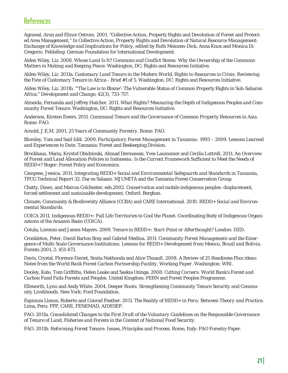### **References**

Agrawal, Arun and Elinor Ostrom. 2001. "Collective Action, Property Rights and Devolution of Forest and Protected Area Management." In *Collective Action, Property Rights and Devolution of Natural Resource Management: Exchange of Knowledge and Implications for Policy*, edited by Ruth Meinzen-Dick, Anna Knox and Monica Di Gregorio. Feldafing: German Foundation for International Development.

Alden Wiley, Liz. 2008. *Whose Land Is It? Commons and Conflict States: Why the Ownership of the Commons Matters in Making and Keeping Peace*. Washington, DC: Rights and Resources Initiative.

Alden Wiley, Liz. 2011a. *Customary Land Tenure in the Modern World, Rights to Resources in Crisis: Reviewing the Fate of Customary Tenure in Africa - Brief #1 of 5*. Washington, DC: Rights and Resources Initiative.

Alden Wiley, Liz. 2011b. "'The Law is to Blame': The Vulnerable Status of Common Property Rights in Sub-Saharan Africa." *Development and Change, 42*(3), 733-757.

Almeida, Fernanda and Jeffrey Hatcher. 2011. *What Rights? Measuring the Depth of Indigenous Peoples and Community Forest Tenure*. Washington, DC: Rights and Resources Initiative.

Anderson, Kirsten Ewers. 2011. *Communal Tenure and the Governance of Common Property Resources in Asia*. Rome: FAO.

Arnold, J.E.M. 2001. *25 Years of Community Forestry*. Rome: FAO.

Blomley, Tom and Said Iddi. 2009. *Participatory Forest Management in Tanzania: 1993 – 2009. Lessons Learned and Experiences to Date*. Tanzania: Forest and Beekeeping Division.

Brockhaus, Maria, Krystof Obidzinski, Ahmad Dermawan, Yves Laumonier and Cecilia Luttrell. 2011. *An Overview of Forest and Land Allocation Policies in Indonesia: Is the Current Framework Suffi cient to Meet the Needs of REDD+?* Bogor: Forest Policy and Economics.

Campese, Jessica. 2011. *Integrating REDD+ Social and Environmental Safeguards and Standards in Tanzania, TFCG Technical Report 32*. Dar es Salaam: MJUMITA and the Tanzania Forest Conservation Group.

Chatty, Dawn, and Marcus Colchester, eds.2002. *Conservation and mobile indigenous peoples: displacement, forced settlement and sustainable development*. Oxford: Berghan.

Climate, Community & Biodiversity Alliance (CCBA) and CARE International. 2010. *REDD+ Social and Environmental Standards*.

COICA 2011. *Indigenous REDD+: Full Life Territories to Cool the Planet*. Coordinating Body of Indigenous Organizations of the Amazon Basin (COICA).

Cotula, Lorenzo and James Mayers. 2009. *Tenure in REDD+: Start-Point or Afterthought?* London: IIED.

Cronkleton, Peter, David Barton Bray and Gabriel Medina. 2011. *Community Forest Management and the Emergence of Multi-Scale Governance Institutions: Lessons for REDD+ Development from Mexico, Brazil and Bolivia*. Forests 2001, 2: 451-473.

Davis, Crystal, Florence Daviet, Smita Nakhooda and Alice Thuault. 2008. *A Review of 25 Readiness Plan ideas: Notes from the World Bank Forest Carbon Partnership Facility, Working Paper*. Washington: WRI.

Dooley, Kate, Tom Griffiths, Helen Leake and Saskia Ozinga. 2008. *Cutting Corners: World Bank's Forest and Carbon Fund Fails Forests and Peoples*. United Kingdom: FERN and Forest Peoples Programme.

Ellsworth, Lynn and Andy White. 2004. *Deeper Roots: Strengthening Community Tenure Security and Community Livelihoods*. New York: Ford Foundation.

Espinoza Llanos, Roberto and Conrad Feather. 2011. *The Reality of REDD+ in Peru: Between Theory and Practice*. Lima, Peru: FPP, CARE, FENEMAD, AIDESEP.

FAO. 2011a. *Consolidated Changes to the First Draft of the Voluntary Guidelines on the Responsible Governance of Tenure of Land, Fisheries and Forests in the Context of National Food Security*.

FAO. 2011b. *Reforming Forest Tenure: Issues, Principles and Process*. Rome, Italy: FAO Forestry Paper.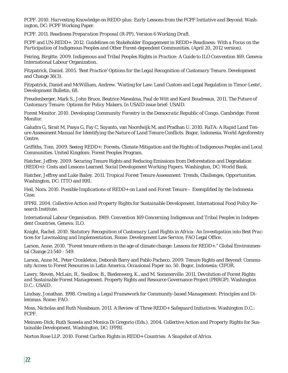FCPF. 2010. *Harvesting Knowledge on REDD-plus: Early Lessons from the FCPF Initiative and Beyond*. Washington, DC: FCPF Working Paper.

FCPF. 2011. *Readiness Preparation Proposal (R-PP), Version 6 Working Draft*.

FCPF and UN-REDD+. 2012. *Guidelines on Stakeholder Engagement in REDD+ Readiness: With a Focus on the Participation of Indigenous Peoples and Other Forest-dependent Communities*. (April 20, 2012 version).

Feiring, Birgitte. 2009. *Indigenous and Tribal Peoples Rights in Practice: A Guide to ILO Convention 169*. Geneva: International Labour Organization.

Fitzpatrick, Daniel. 2005. *'Best Practice' Options for the Legal Recognition of Customary Tenure*. Development and Change 36(3).

Fitzpatrick, Daniel and McWilliam, Andrew. 'Waiting for Law: Land Custom and Legal Regulation in Timor-Leste', *Development Bulletin*, 68.

Freudenberger, Mark S., John Bruce, Beatrice Mawalma, Paul de Witt and Karol Boudreaux. 2011. *The Future of Customary Tenure: Options for Policy Makers*. In USAID issue brief: USAID.

Forest Monitor. 2010. *Developing Community Forestry in the Democratic Republic of Congo*. Cambridge: Forest Monitor.

Galudra G, Sirait M, Pasya G, Fay C, Suyanto, van Noordwijk M, and Pradhan U. 2010. RaTA: *A Rapid Land Tenure Assessment Manual for Identifying the Nature of Land Tenure Conflicts. Bogor, Indonesia. World Agroforestry* Centre.

Griffiths, Tom. 2009. *Seeing REDD+: Forests, Climate Mitigation and the Rights of Indigenous Peoples and Local Communities*. United Kingdom: Forest Peoples Program.

Hatcher, Jeffrey. 2009. Securing Tenure Rights and Reducing Emissions from Deforestation and Degradation (REDD+): Costs and Lessons Learned. *Social Development Working Papers*. Washington, DC: World Bank.

Hatcher, Jeffrey and Luke Bailey. 2011. *Tropical Forest Tenure Assessment: Trends, Challenges, Opportunities*. Washington, DC: ITTO and RRI.

Heil, Nora. 2010. *Possible Implications of REDD+ on Land and Forest Tenure – Exemplified by the Indonesia Case*.

IFPRI. 2004. *Collective Action and Property Rights for Sustainable Development*. International Food Policy Research Institute.

International Labour Organisation. 1989. *Convention 169 Concerning Indigenous and Tribal Peoples in Independent Countries*. Geneva: ILO.

Knight, Rachel. 2010. *Statutory Recognition of Customary Land Rights in Africa: An Investigation into Best Practices for Lawmaking and Implementation*. Rome: Development Law Service, FAO Legal Office.

Larson, Anne. 2010. "Forest tenure reform in the age of climate change: Lessons for REDD+." Global Environmental Change 21:540 - 549.

Larson, Anne M., Peter Cronkleton, Deborah Barry and Pablo Pacheco. 2009. Tenure Rights and Beyond: Community Access to Forest Resources in Latin America. *Occasional Paper no. 50*. Bogor, Indonesia: CIFOR.

Lawry, Steven, McLain, R., Swallow, B., Biedenwerg, K., and M. Sommerville. 2011. *Devolution of Forest Rights and Sustainable Forest Management*. Property Rights and Resource Governance Project (PRRGP). Washington D.C.: USAID.

Lindsay, Jonathan. 1998. *Creating a Legal Framework for Community-based Management: Principles and Dilemmas*. Rome: FAO.

Moss, Nicholas and Ruth Nussbaum. 2011. *A Review of Three REDD+ Safeguard Initiatives*. Washington D.C.: FCPF.

Meinzen-Dick, Ruth Suseela and Monica Di Gregorio (Eds.). 2004. *Collective Action and Property Rights for Sustainable Development*. Washington, DC: IFPRI.

Norton Rose LLP. 2010. *Forest Carbon Rights in REDD+ Countries: A Snapshot of Africa*.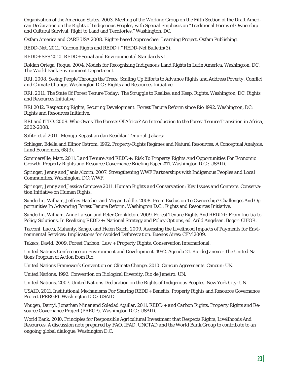Organization of the American States. 2003. Meeting of the Working Group on the Fifth Section of the Draft American Declaration on the Rights of Indigenous Peoples, with Special Emphasis on "Traditional Forms of Ownership and Cultural Survival, Right to Land and Territories." Washington, DC.

Oxfam America and CARE USA 2008. *Rights-based Approaches: Learning Project*. Oxfam Publishing.

REDD-Net. 2011. "Carbon Rights and REDD+." REDD-Net Bulletin(3).

REDD+ SES 2010. *REDD+ Social and Environmental Standards v1.* 

Roldan Ortega, Roque. 2004. Models for Recognizing Indigenous Land Rights in Latin America. Washington, DC: The World Bank Environment Department.

RRI. 2008. *Seeing People Through the Trees: Scaling Up Efforts to Advance Rights and Address Poverty, Conflict and Climate Change*. Washington D.C.: Rights and Resources Initiative.

RRI. 2011. *The State Of Forest Tenure Today: The Struggle to Realize, and Keep, Rights*. Washington, DC: Rights and Resources Initiative.

RRI 2012. *Respecting Rights, Securing Development: Forest Tenure Reform since Rio 1992*. Washington, DC: Rights and Resources Initiative.

RRI and ITTO. 2009. *Who Owns The Forests Of Africa? An Introduction to the Forest Tenure Transition in Africa, 2002-2008*.

Safitri et al 2011. Menuju Kepastian dan Keadilan Tenurial. Jakarta.

Schlager, Edella and Elinor Ostrom. 1992. Property-Rights Regimes and Natural Resources: A Conceptual Analysis. *Land Economics*, 68(3).

Sommerville, Matt. 2011. *Land Tenure And REDD+: Risk To Property Rights And Opportunities For Economic Growth*. Property Rights and Resource Governance Briefing Paper #11. Washington D.C.: USAID.

Springer, Jenny and Janis Alcorn. 2007. *Strengthening WWF Partnerships with Indigenous Peoples and Local Communities*. Washington, DC: WWF.

Springer, Jenny and Jessica Campese 2011. *Human Rights and Conservation: Key Issues and Contexts*. Conservation Initiative on Human Rights.

Sunderlin, William, Jeffrey Hatcher and Megan Liddle. 2008. *From Exclusion To Ownership? Challenges And Opportunities In Advancing Forest Tenure Reform*. Washington D.C.: Rights and Resources Initiative.

Sunderlin, William, Anne Larson and Peter Cronkleton. 2009. *Forest Tenure Rights And REDD+: From Inertia to Policy Solutions*. In Realizing REDD +: National Strategy and Policy Options, ed. Arild Angelsen. Bogor: CIFOR.

Tacconi, Lucca, Mahanty, Sango, and Helen Suich. 2009. *Assessing the Livelihood Impacts of Payments for Environmental Services: Implications for Avoided Deforestation*. Buenos Aires: CFM 2009.

Takacs, David. 2009. *Forest Carbon: Law + Property Rights*. Conservation International.

United Nations Conference on Environment and Development. 1992. Agenda 21. Rio de Janeiro: The United Nations Program of Action from Rio.

United Nations Framework Convention on Climate Change. 2010. *Cancun Agreements*. Cancun: UN.

United Nations. 1992. Convention on Biological Diversity. Rio de Janeiro: UN.

United Nations. 2007. United Nations Declaration on the Rights of Indigenous Peoples. New York City: UN.

USAID. 2011. *Institutional Mechanisms For Sharing REDD+ Benefits*. Property Rights and Resource Governance Project (PRRGP). Washington D.C.: USAID.

Vhugen, Darryl, Jonathan Miner and Soledad Aguilar. 2011. *REDD + and Carbon Rights*. Property Rights and Resource Governance Project (PRRGP). Washington D.C.: USAID.

World Bank. 2010. *Principles for Responsible Agricultural Investment that Respects Rights, Livelihoods And Resources. A discussion note prepared by FAO, IFAD, UNCTAD and the World Bank Group to contribute to an ongoing global dialogue*. Washington D.C.